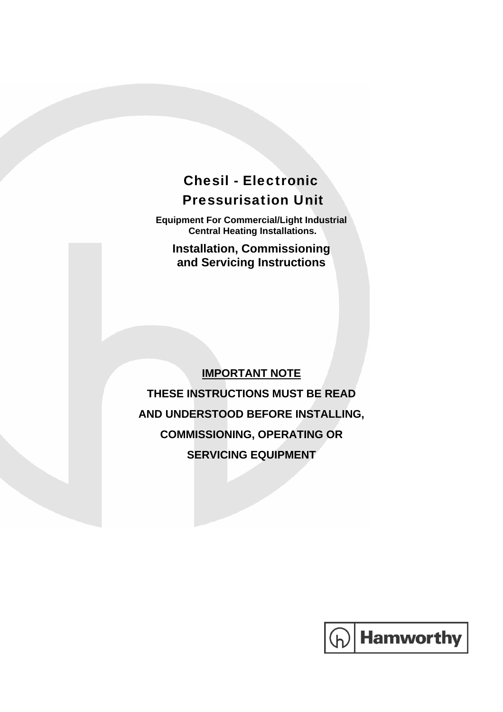## Chesil - Electronic Pressurisation Unit

**Equipment For Commercial/Light Industrial Central Heating Installations.** 

**Installation, Commissioning and Servicing Instructions** 

#### **IMPORTANT NOTE**

**THESE INSTRUCTIONS MUST BE READ AND UNDERSTOOD BEFORE INSTALLING, COMMISSIONING, OPERATING OR SERVICING EQUIPMENT** 

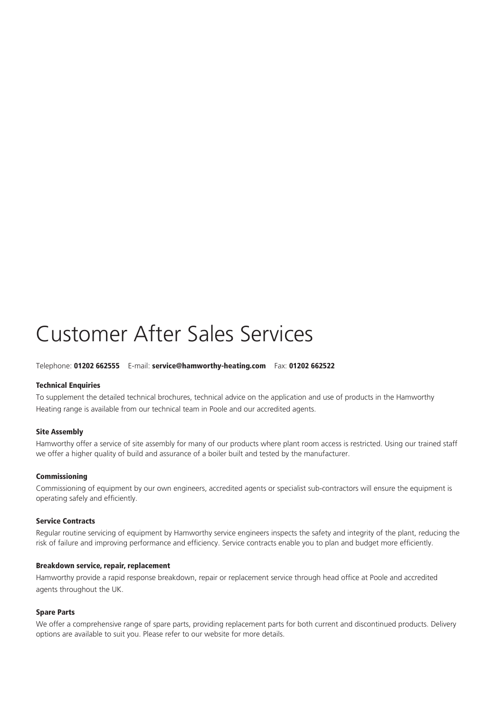# Customer After Sales Services

#### Telephone: 01202 662555 E-mail: service@hamworthy-heating.com Fax: 01202 662522

#### Technical Enquiries

To supplement the detailed technical brochures, technical advice on the application and use of products in the Hamworthy Heating range is available from our technical team in Poole and our accredited agents.

#### Site Assembly

Hamworthy offer a service of site assembly for many of our products where plant room access is restricted. Using our trained staff we offer a higher quality of build and assurance of a boiler built and tested by the manufacturer.

#### Commissioning

Commissioning of equipment by our own engineers, accredited agents or specialist sub-contractors will ensure the equipment is operating safely and efficiently.

#### Service Contracts

Regular routine servicing of equipment by Hamworthy service engineers inspects the safety and integrity of the plant, reducing the risk of failure and improving performance and efficiency. Service contracts enable you to plan and budget more efficiently.

#### Breakdown service, repair, replacement

Hamworthy provide a rapid response breakdown, repair or replacement service through head office at Poole and accredited agents throughout the UK.

#### Spare Parts

We offer a comprehensive range of spare parts, providing replacement parts for both current and discontinued products. Delivery options are available to suit you. Please refer to our website for more details.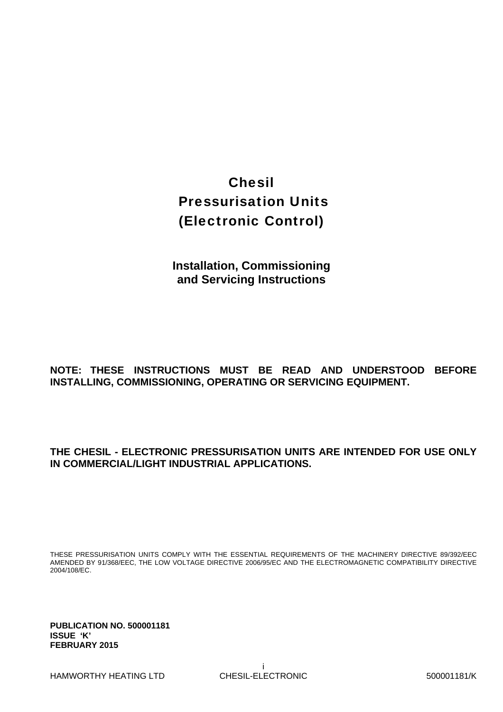## Chesil Pressurisation Units (Electronic Control)

**Installation, Commissioning and Servicing Instructions** 

#### **NOTE: THESE INSTRUCTIONS MUST BE READ AND UNDERSTOOD BEFORE INSTALLING, COMMISSIONING, OPERATING OR SERVICING EQUIPMENT.**

#### **THE CHESIL - ELECTRONIC PRESSURISATION UNITS ARE INTENDED FOR USE ONLY IN COMMERCIAL/LIGHT INDUSTRIAL APPLICATIONS.**

THESE PRESSURISATION UNITS COMPLY WITH THE ESSENTIAL REQUIREMENTS OF THE MACHINERY DIRECTIVE 89/392/EEC AMENDED BY 91/368/EEC, THE LOW VOLTAGE DIRECTIVE 2006/95/EC AND THE ELECTROMAGNETIC COMPATIBILITY DIRECTIVE 2004/108/EC.

**PUBLICATION NO. 500001181 ISSUE 'K' FEBRUARY 2015**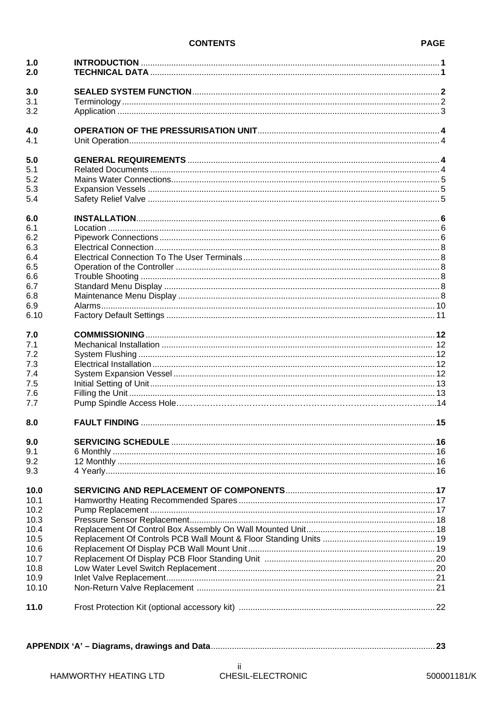#### **CONTENTS**

| 3.0<br>3.1<br>3.2<br>4.0<br>4.1<br>5.0<br>5.1<br>5.2<br>5.3<br>5.4<br>6.0<br>6.1<br>6.2 |  |
|-----------------------------------------------------------------------------------------|--|
|                                                                                         |  |
|                                                                                         |  |
|                                                                                         |  |
|                                                                                         |  |
|                                                                                         |  |
|                                                                                         |  |
|                                                                                         |  |
|                                                                                         |  |
|                                                                                         |  |
|                                                                                         |  |
|                                                                                         |  |
|                                                                                         |  |
|                                                                                         |  |
| 6.3                                                                                     |  |
| 6.4                                                                                     |  |
| 6.5                                                                                     |  |
| 6.6                                                                                     |  |
| 6.7                                                                                     |  |
| 6.8                                                                                     |  |
|                                                                                         |  |
| 6.9<br>6.10                                                                             |  |
| 7.0                                                                                     |  |
| 7.1                                                                                     |  |
| 7.2                                                                                     |  |
| 7.3                                                                                     |  |
|                                                                                         |  |
| 7.4                                                                                     |  |
| 7.5                                                                                     |  |
| 7.6<br>7.7                                                                              |  |
| 8.0                                                                                     |  |
| 9.0                                                                                     |  |
| 9.1                                                                                     |  |
| 9.2                                                                                     |  |
| 9.3                                                                                     |  |
| 10.0                                                                                    |  |
| 10.1                                                                                    |  |
| 10.2                                                                                    |  |
| 10.3                                                                                    |  |
| 10.4                                                                                    |  |
| 10.5                                                                                    |  |
| 10.6                                                                                    |  |
| 10.7                                                                                    |  |
| 10.8                                                                                    |  |
| 10.9                                                                                    |  |
| 10.10                                                                                   |  |
| 11.0                                                                                    |  |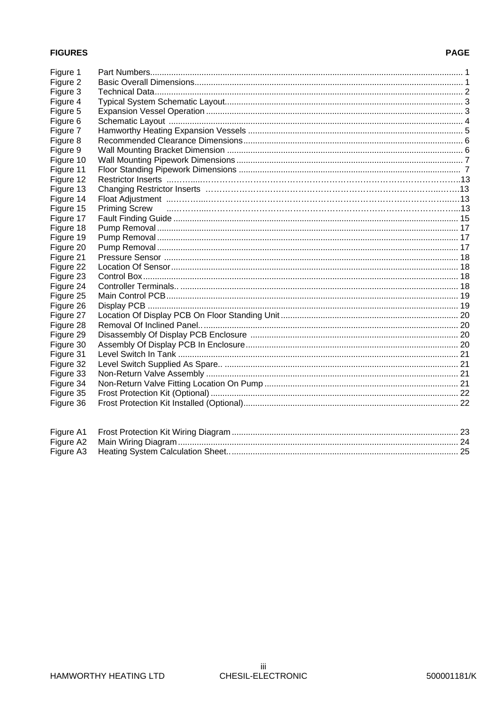#### **FIGURES**

#### **PAGE**

| Figure 1  |                      |  |
|-----------|----------------------|--|
| Figure 2  |                      |  |
| Figure 3  |                      |  |
| Figure 4  |                      |  |
| Figure 5  |                      |  |
| Figure 6  |                      |  |
| Figure 7  |                      |  |
| Figure 8  |                      |  |
| Figure 9  |                      |  |
| Figure 10 |                      |  |
| Figure 11 |                      |  |
| Figure 12 |                      |  |
| Figure 13 |                      |  |
| Figure 14 |                      |  |
| Figure 15 | <b>Priming Screw</b> |  |
| Figure 17 |                      |  |
| Figure 18 |                      |  |
| Figure 19 |                      |  |
| Figure 20 |                      |  |
| Figure 21 |                      |  |
| Figure 22 |                      |  |
| Figure 23 |                      |  |
| Figure 24 |                      |  |
| Figure 25 |                      |  |
| Figure 26 |                      |  |
| Figure 27 |                      |  |
| Figure 28 |                      |  |
| Figure 29 |                      |  |
| Figure 30 |                      |  |
| Figure 31 |                      |  |
| Figure 32 |                      |  |
| Figure 33 |                      |  |
| Figure 34 |                      |  |
| Figure 35 |                      |  |
| Figure 36 |                      |  |
|           |                      |  |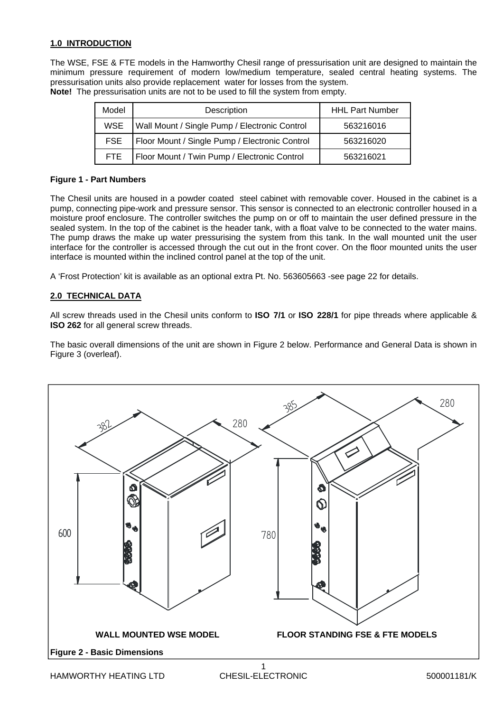#### **1.0 INTRODUCTION**

The WSE, FSE & FTE models in the Hamworthy Chesil range of pressurisation unit are designed to maintain the minimum pressure requirement of modern low/medium temperature, sealed central heating systems. The pressurisation units also provide replacement water for losses from the system. **Note!** The pressurisation units are not to be used to fill the system from empty.

| Model      | Description                                    | <b>HHL Part Number</b> |
|------------|------------------------------------------------|------------------------|
| <b>WSE</b> | Wall Mount / Single Pump / Electronic Control  | 563216016              |
| <b>FSE</b> | Floor Mount / Single Pump / Electronic Control | 563216020              |
| FTE.       | Floor Mount / Twin Pump / Electronic Control   | 563216021              |

#### **Figure 1 - Part Numbers**

The Chesil units are housed in a powder coated steel cabinet with removable cover. Housed in the cabinet is a pump, connecting pipe-work and pressure sensor. This sensor is connected to an electronic controller housed in a moisture proof enclosure. The controller switches the pump on or off to maintain the user defined pressure in the sealed system. In the top of the cabinet is the header tank, with a float valve to be connected to the water mains. The pump draws the make up water pressurising the system from this tank. In the wall mounted unit the user interface for the controller is accessed through the cut out in the front cover. On the floor mounted units the user interface is mounted within the inclined control panel at the top of the unit.

A 'Frost Protection' kit is available as an optional extra Pt. No. 563605663 -see page 22 for details.

#### **2.0 TECHNICAL DATA**

All screw threads used in the Chesil units conform to **ISO 7/1** or **ISO 228/1** for pipe threads where applicable & **ISO 262** for all general screw threads.

The basic overall dimensions of the unit are shown in Figure 2 below. Performance and General Data is shown in Figure 3 (overleaf).

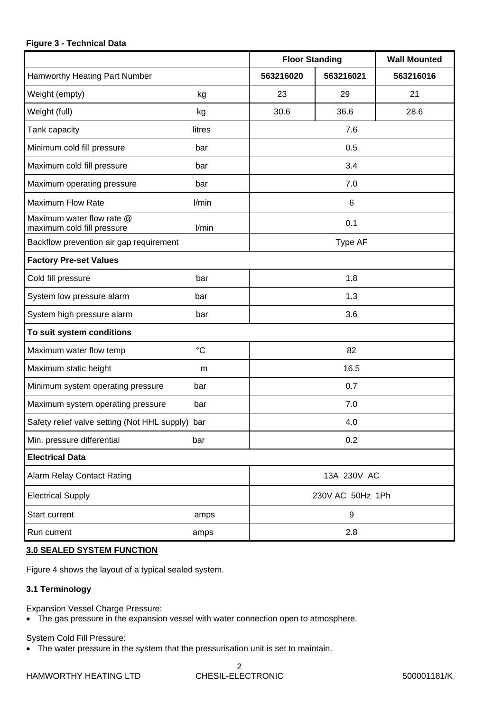#### **Figure 3 - Technical Data**

|                                                         |                 | <b>Floor Standing</b> |                  | <b>Wall Mounted</b> |
|---------------------------------------------------------|-----------------|-----------------------|------------------|---------------------|
| Hamworthy Heating Part Number                           |                 | 563216020             | 563216021        | 563216016           |
| Weight (empty)                                          | kg              | 23                    | 29               | 21                  |
| Weight (full)                                           | kg              | 30.6                  | 36.6             | 28.6                |
| Tank capacity                                           | litres          |                       | 7.6              |                     |
| Minimum cold fill pressure                              | bar             |                       | 0.5              |                     |
| Maximum cold fill pressure                              | bar             |                       | 3.4              |                     |
| Maximum operating pressure                              | bar             |                       | 7.0              |                     |
| <b>Maximum Flow Rate</b>                                | l/min           |                       | 6                |                     |
| Maximum water flow rate @<br>maximum cold fill pressure | l/min           |                       | 0.1              |                     |
| Backflow prevention air gap requirement                 |                 |                       | Type AF          |                     |
| <b>Factory Pre-set Values</b>                           |                 |                       |                  |                     |
| Cold fill pressure                                      | bar             |                       | 1.8              |                     |
| System low pressure alarm                               | bar             |                       | 1.3              |                     |
| System high pressure alarm                              | bar             |                       | 3.6              |                     |
| To suit system conditions                               |                 |                       |                  |                     |
| Maximum water flow temp                                 | $\rm ^{\circ}C$ |                       | 82               |                     |
| Maximum static height                                   | m               |                       | 16.5             |                     |
| Minimum system operating pressure                       | bar             |                       | 0.7              |                     |
| Maximum system operating pressure                       | bar             |                       | 7.0              |                     |
| Safety relief valve setting (Not HHL supply) bar        |                 |                       | 4.0              |                     |
| Min. pressure differential                              | bar             |                       | 0.2              |                     |
| <b>Electrical Data</b>                                  |                 |                       |                  |                     |
| <b>Alarm Relay Contact Rating</b>                       |                 |                       | 13A 230V AC      |                     |
| <b>Electrical Supply</b>                                |                 |                       | 230V AC 50Hz 1Ph |                     |
| Start current                                           | amps            |                       | 9                |                     |
| Run current                                             | amps            |                       | 2.8              |                     |

#### **3.0 SEALED SYSTEM FUNCTION**

Figure 4 shows the layout of a typical sealed system.

#### **3.1 Terminology**

Expansion Vessel Charge Pressure:

The gas pressure in the expansion vessel with water connection open to atmosphere.

System Cold Fill Pressure:

The water pressure in the system that the pressurisation unit is set to maintain.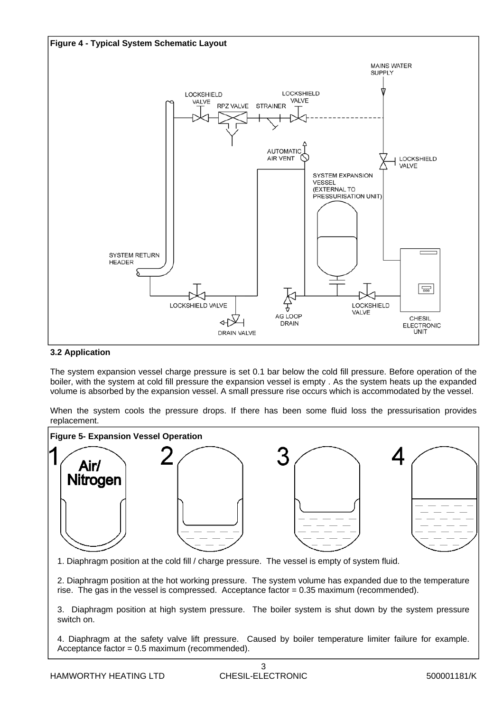

#### **3.2 Application**

The system expansion vessel charge pressure is set 0.1 bar below the cold fill pressure. Before operation of the boiler, with the system at cold fill pressure the expansion vessel is empty . As the system heats up the expanded volume is absorbed by the expansion vessel. A small pressure rise occurs which is accommodated by the vessel.

When the system cools the pressure drops. If there has been some fluid loss the pressurisation provides replacement.



1. Diaphragm position at the cold fill / charge pressure. The vessel is empty of system fluid.

2. Diaphragm position at the hot working pressure. The system volume has expanded due to the temperature rise. The gas in the vessel is compressed. Acceptance factor = 0.35 maximum (recommended).

3. Diaphragm position at high system pressure. The boiler system is shut down by the system pressure switch on.

4. Diaphragm at the safety valve lift pressure. Caused by boiler temperature limiter failure for example. Acceptance factor = 0.5 maximum (recommended).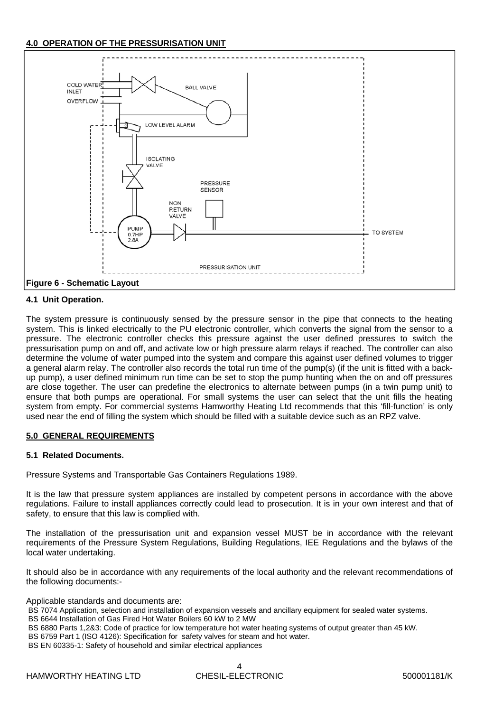#### **4.0 OPERATION OF THE PRESSURISATION UNIT**



#### **4.1 Unit Operation.**

The system pressure is continuously sensed by the pressure sensor in the pipe that connects to the heating system. This is linked electrically to the PU electronic controller, which converts the signal from the sensor to a pressure. The electronic controller checks this pressure against the user defined pressures to switch the pressurisation pump on and off, and activate low or high pressure alarm relays if reached. The controller can also determine the volume of water pumped into the system and compare this against user defined volumes to trigger a general alarm relay. The controller also records the total run time of the pump(s) (if the unit is fitted with a backup pump), a user defined minimum run time can be set to stop the pump hunting when the on and off pressures are close together. The user can predefine the electronics to alternate between pumps (in a twin pump unit) to ensure that both pumps are operational. For small systems the user can select that the unit fills the heating system from empty. For commercial systems Hamworthy Heating Ltd recommends that this 'fill-function' is only used near the end of filling the system which should be filled with a suitable device such as an RPZ valve.

#### **5.0 GENERAL REQUIREMENTS**

#### **5.1 Related Documents.**

Pressure Systems and Transportable Gas Containers Regulations 1989.

It is the law that pressure system appliances are installed by competent persons in accordance with the above regulations. Failure to install appliances correctly could lead to prosecution. It is in your own interest and that of safety, to ensure that this law is complied with.

The installation of the pressurisation unit and expansion vessel MUST be in accordance with the relevant requirements of the Pressure System Regulations, Building Regulations, IEE Regulations and the bylaws of the local water undertaking.

It should also be in accordance with any requirements of the local authority and the relevant recommendations of the following documents:-

#### Applicable standards and documents are:

- BS 7074 Application, selection and installation of expansion vessels and ancillary equipment for sealed water systems. BS 6644 Installation of Gas Fired Hot Water Boilers 60 kW to 2 MW
- BS 6880 Parts 1,2&3: Code of practice for low temperature hot water heating systems of output greater than 45 kW.
- BS 6759 Part 1 (ISO 4126): Specification for safety valves for steam and hot water.
- BS EN 60335-1: Safety of household and similar electrical appliances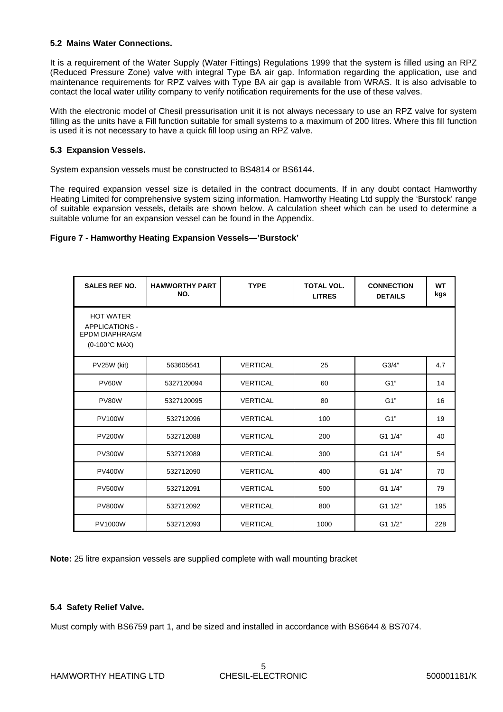#### **5.2 Mains Water Connections.**

It is a requirement of the Water Supply (Water Fittings) Regulations 1999 that the system is filled using an RPZ (Reduced Pressure Zone) valve with integral Type BA air gap. Information regarding the application, use and maintenance requirements for RPZ valves with Type BA air gap is available from WRAS. It is also advisable to contact the local water utility company to verify notification requirements for the use of these valves.

With the electronic model of Chesil pressurisation unit it is not always necessary to use an RPZ valve for system filling as the units have a Fill function suitable for small systems to a maximum of 200 litres. Where this fill function is used it is not necessary to have a quick fill loop using an RPZ valve.

#### **5.3 Expansion Vessels.**

System expansion vessels must be constructed to BS4814 or BS6144.

The required expansion vessel size is detailed in the contract documents. If in any doubt contact Hamworthy Heating Limited for comprehensive system sizing information. Hamworthy Heating Ltd supply the 'Burstock' range of suitable expansion vessels, details are shown below. A calculation sheet which can be used to determine a suitable volume for an expansion vessel can be found in the Appendix.

#### **Figure 7 - Hamworthy Heating Expansion Vessels—'Burstock'**

| <b>SALES REF NO.</b>                                                                | <b>HAMWORTHY PART</b><br>NO. | <b>TYPE</b>     | <b>TOTAL VOL.</b><br><b>LITRES</b> | <b>CONNECTION</b><br><b>DETAILS</b> | <b>WT</b><br>kgs |
|-------------------------------------------------------------------------------------|------------------------------|-----------------|------------------------------------|-------------------------------------|------------------|
| <b>HOT WATER</b><br><b>APPLICATIONS -</b><br><b>EPDM DIAPHRAGM</b><br>(0-100°C MAX) |                              |                 |                                    |                                     |                  |
| PV25W (kit)                                                                         | 563605641                    | <b>VERTICAL</b> | 25                                 | G3/4"                               | 4.7              |
| PV60W                                                                               | 5327120094                   | <b>VERTICAL</b> | 60                                 | G1"                                 | 14               |
| PV80W                                                                               | 5327120095                   | <b>VERTICAL</b> | 80                                 | G1"                                 | 16               |
| <b>PV100W</b>                                                                       | 532712096                    | <b>VERTICAL</b> | 100                                | G1"                                 | 19               |
| <b>PV200W</b>                                                                       | 532712088                    | <b>VERTICAL</b> | 200                                | G1 1/4"                             | 40               |
| <b>PV300W</b>                                                                       | 532712089                    | <b>VERTICAL</b> | 300                                | G1 1/4"                             | 54               |
| <b>PV400W</b>                                                                       | 532712090                    | <b>VERTICAL</b> | 400                                | G1 1/4"                             | 70               |
| <b>PV500W</b>                                                                       | 532712091                    | <b>VERTICAL</b> | 500                                | G1 1/4"                             | 79               |
| <b>PV800W</b>                                                                       | 532712092                    | <b>VERTICAL</b> | 800                                | G1 1/2"                             | 195              |
| <b>PV1000W</b>                                                                      | 532712093                    | <b>VERTICAL</b> | 1000                               | G1 1/2"                             | 228              |

**Note:** 25 litre expansion vessels are supplied complete with wall mounting bracket

#### **5.4 Safety Relief Valve.**

Must comply with BS6759 part 1, and be sized and installed in accordance with BS6644 & BS7074.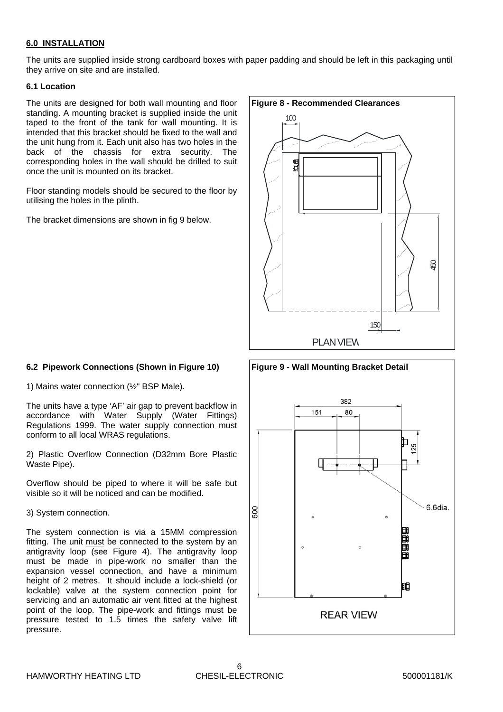#### **6.0 INSTALLATION**

The units are supplied inside strong cardboard boxes with paper padding and should be left in this packaging until they arrive on site and are installed.

#### **6.1 Location**

The units are designed for both wall mounting and floor standing. A mounting bracket is supplied inside the unit taped to the front of the tank for wall mounting. It is intended that this bracket should be fixed to the wall and the unit hung from it. Each unit also has two holes in the back of the chassis for extra security. The corresponding holes in the wall should be drilled to suit once the unit is mounted on its bracket.

Floor standing models should be secured to the floor by utilising the holes in the plinth.

The bracket dimensions are shown in fig 9 below.

# **Figure 8 - Recommended Clearances** 450 150 PLAN VIEW 100

#### **6.2 Pipework Connections (Shown in Figure 10)**

1) Mains water connection (½" BSP Male).

The units have a type 'AF' air gap to prevent backflow in accordance with Water Supply (Water Fittings) Regulations 1999. The water supply connection must conform to all local WRAS regulations.

2) Plastic Overflow Connection (D32mm Bore Plastic Waste Pipe).

Overflow should be piped to where it will be safe but visible so it will be noticed and can be modified.

3) System connection.

The system connection is via a 15MM compression fitting. The unit must be connected to the system by an antigravity loop (see Figure 4). The antigravity loop must be made in pipe-work no smaller than the expansion vessel connection, and have a minimum height of 2 metres. It should include a lock-shield (or lockable) valve at the system connection point for servicing and an automatic air vent fitted at the highest point of the loop. The pipe-work and fittings must be pressure tested to 1.5 times the safety valve lift pressure.

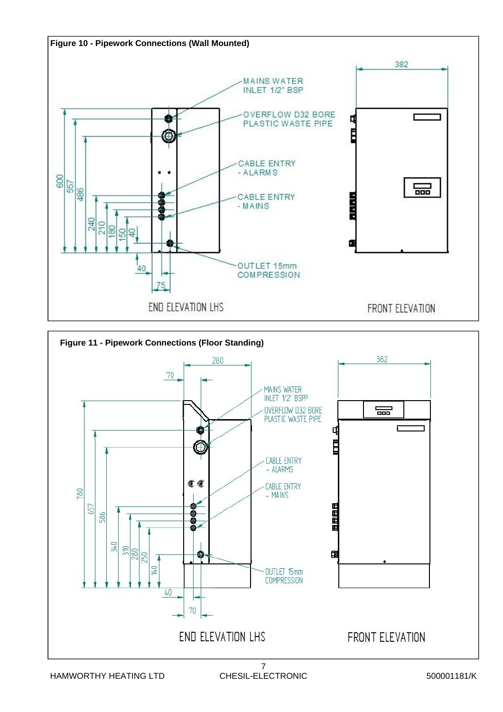

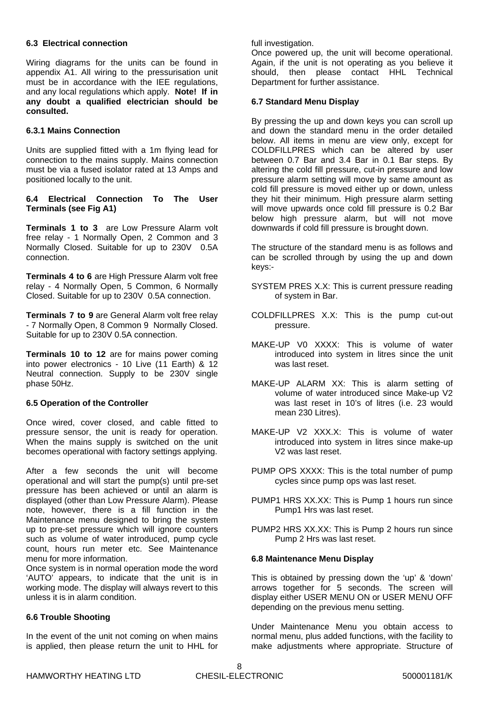#### **6.3 Electrical connection**

Wiring diagrams for the units can be found in appendix A1. All wiring to the pressurisation unit must be in accordance with the IEE regulations, and any local regulations which apply. **Note! If in any doubt a qualified electrician should be consulted.** 

#### **6.3.1 Mains Connection**

Units are supplied fitted with a 1m flying lead for connection to the mains supply. Mains connection must be via a fused isolator rated at 13 Amps and positioned locally to the unit.

#### **6.4 Electrical Connection To The User Terminals (see Fig A1)**

**Terminals 1 to 3** are Low Pressure Alarm volt free relay - 1 Normally Open, 2 Common and 3 Normally Closed. Suitable for up to 230V 0.5A connection.

**Terminals 4 to 6** are High Pressure Alarm volt free relay - 4 Normally Open, 5 Common, 6 Normally Closed. Suitable for up to 230V 0.5A connection.

**Terminals 7 to 9** are General Alarm volt free relay - 7 Normally Open, 8 Common 9 Normally Closed. Suitable for up to 230V 0.5A connection.

**Terminals 10 to 12** are for mains power coming into power electronics - 10 Live (11 Earth) & 12 Neutral connection. Supply to be 230V single phase 50Hz.

#### **6.5 Operation of the Controller**

Once wired, cover closed, and cable fitted to pressure sensor, the unit is ready for operation. When the mains supply is switched on the unit becomes operational with factory settings applying.

After a few seconds the unit will become operational and will start the pump(s) until pre-set pressure has been achieved or until an alarm is displayed (other than Low Pressure Alarm). Please note, however, there is a fill function in the Maintenance menu designed to bring the system up to pre-set pressure which will ignore counters such as volume of water introduced, pump cycle count, hours run meter etc. See Maintenance menu for more information.

Once system is in normal operation mode the word 'AUTO' appears, to indicate that the unit is in working mode. The display will always revert to this unless it is in alarm condition.

#### **6.6 Trouble Shooting**

In the event of the unit not coming on when mains is applied, then please return the unit to HHL for full investigation.

Once powered up, the unit will become operational. Again, if the unit is not operating as you believe it should, then please contact HHL Technical Department for further assistance.

#### **6.7 Standard Menu Display**

By pressing the up and down keys you can scroll up and down the standard menu in the order detailed below. All items in menu are view only, except for COLDFILLPRES which can be altered by user between 0.7 Bar and 3.4 Bar in 0.1 Bar steps. By altering the cold fill pressure, cut-in pressure and low pressure alarm setting will move by same amount as cold fill pressure is moved either up or down, unless they hit their minimum. High pressure alarm setting will move upwards once cold fill pressure is 0.2 Bar below high pressure alarm, but will not move downwards if cold fill pressure is brought down.

The structure of the standard menu is as follows and can be scrolled through by using the up and down keys:-

- SYSTEM PRES X.X: This is current pressure reading of system in Bar.
- COLDFILLPRES X.X: This is the pump cut-out pressure.
- MAKE-UP V0 XXXX: This is volume of water introduced into system in litres since the unit was last reset.
- MAKE-UP ALARM XX: This is alarm setting of volume of water introduced since Make-up V2 was last reset in 10's of litres (i.e. 23 would mean 230 Litres).
- MAKE-UP V2 XXX.X: This is volume of water introduced into system in litres since make-up V2 was last reset.
- PUMP OPS XXXX: This is the total number of pump cycles since pump ops was last reset.
- PUMP1 HRS XX.XX: This is Pump 1 hours run since Pump1 Hrs was last reset.
- PUMP2 HRS XX.XX: This is Pump 2 hours run since Pump 2 Hrs was last reset.

#### **6.8 Maintenance Menu Display**

This is obtained by pressing down the 'up' & 'down' arrows together for 5 seconds. The screen will display either USER MENU ON or USER MENU OFF depending on the previous menu setting.

Under Maintenance Menu you obtain access to normal menu, plus added functions, with the facility to make adjustments where appropriate. Structure of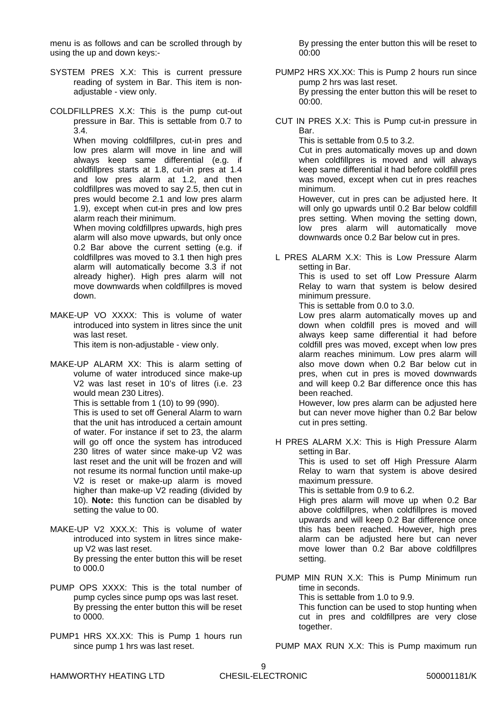menu is as follows and can be scrolled through by using the up and down keys:-

- SYSTEM PRES X.X: This is current pressure reading of system in Bar. This item is nonadjustable - view only.
- COLDFILLPRES X.X: This is the pump cut-out pressure in Bar. This is settable from 0.7 to 3.4.

 When moving coldfillpres, cut-in pres and low pres alarm will move in line and will always keep same differential (e.g. if coldfillpres starts at 1.8, cut-in pres at 1.4 and low pres alarm at 1.2, and then coldfillpres was moved to say 2.5, then cut in pres would become 2.1 and low pres alarm 1.9), except when cut-in pres and low pres alarm reach their minimum.

 When moving coldfillpres upwards, high pres alarm will also move upwards, but only once 0.2 Bar above the current setting (e.g. if coldfillpres was moved to 3.1 then high pres alarm will automatically become 3.3 if not already higher). High pres alarm will not move downwards when coldfillpres is moved down.

MAKE-UP VO XXXX: This is volume of water introduced into system in litres since the unit was last reset.

This item is non-adjustable - view only.

MAKE-UP ALARM XX: This is alarm setting of volume of water introduced since make-up V2 was last reset in 10's of litres (i.e. 23 would mean 230 Litres).

This is settable from 1 (10) to 99 (990).

 This is used to set off General Alarm to warn that the unit has introduced a certain amount of water. For instance if set to 23, the alarm will go off once the system has introduced 230 litres of water since make-up V2 was last reset and the unit will be frozen and will not resume its normal function until make-up V2 is reset or make-up alarm is moved higher than make-up V2 reading (divided by 10). **Note:** this function can be disabled by setting the value to 00.

- MAKE-UP V2 XXX.X: This is volume of water introduced into system in litres since makeup V2 was last reset. By pressing the enter button this will be reset to 000.0
- PUMP OPS XXXX: This is the total number of pump cycles since pump ops was last reset. By pressing the enter button this will be reset to 0000.
- PUMP1 HRS XX.XX: This is Pump 1 hours run since pump 1 hrs was last reset.

 By pressing the enter button this will be reset to 00:00

- PUMP2 HRS XX.XX: This is Pump 2 hours run since pump 2 hrs was last reset. By pressing the enter button this will be reset to 00:00.
- CUT IN PRES X.X: This is Pump cut-in pressure in Bar.

This is settable from 0.5 to 3.2.

 Cut in pres automatically moves up and down when coldfillpres is moved and will always keep same differential it had before coldfill pres was moved, except when cut in pres reaches minimum.

 However, cut in pres can be adjusted here. It will only go upwards until 0.2 Bar below coldfill pres setting. When moving the setting down, low pres alarm will automatically move downwards once 0.2 Bar below cut in pres.

L PRES ALARM X.X: This is Low Pressure Alarm setting in Bar. This is used to set off Low Pressure Alarm Relay to warn that system is below desired minimum pressure.

This is settable from 0.0 to 3.0.

 Low pres alarm automatically moves up and down when coldfill pres is moved and will always keep same differential it had before coldfill pres was moved, except when low pres alarm reaches minimum. Low pres alarm will also move down when 0.2 Bar below cut in pres, when cut in pres is moved downwards and will keep 0.2 Bar difference once this has been reached.

 However, low pres alarm can be adjusted here but can never move higher than 0.2 Bar below cut in pres setting.

H PRES ALARM X.X: This is High Pressure Alarm setting in Bar.

 This is used to set off High Pressure Alarm Relay to warn that system is above desired maximum pressure.

This is settable from 0.9 to 6.2.

 High pres alarm will move up when 0.2 Bar above coldfillpres, when coldfillpres is moved upwards and will keep 0.2 Bar difference once this has been reached. However, high pres alarm can be adjusted here but can never move lower than 0.2 Bar above coldfillpres setting.

PUMP MIN RUN X.X: This is Pump Minimum run time in seconds.

This is settable from 1.0 to 9.9.

 This function can be used to stop hunting when cut in pres and coldfillpres are very close together.

PUMP MAX RUN X.X: This is Pump maximum run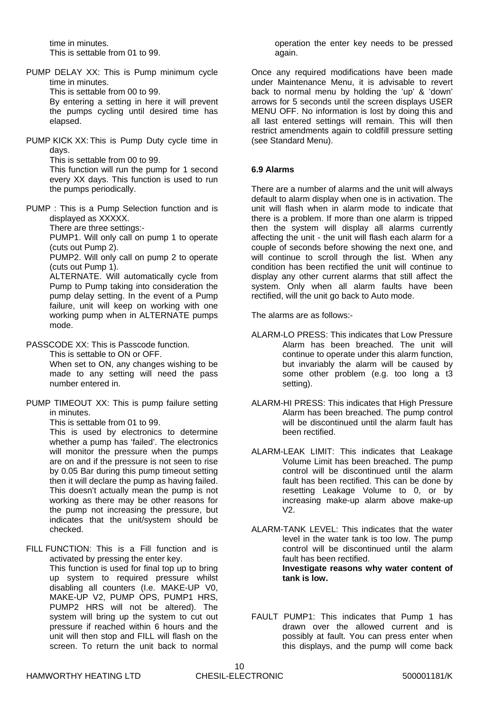time in minutes. This is settable from 01 to 99.

PUMP DELAY XX: This is Pump minimum cycle time in minutes.

This is settable from 00 to 99.

 By entering a setting in here it will prevent the pumps cycling until desired time has elapsed.

PUMP KICK XX: This is Pump Duty cycle time in days.

This is settable from 00 to 99.

 This function will run the pump for 1 second every XX days. This function is used to run the pumps periodically.

PUMP : This is a Pump Selection function and is displayed as XXXXX.

There are three settings:-

 PUMP1. Will only call on pump 1 to operate (cuts out Pump 2).

 PUMP2. Will only call on pump 2 to operate (cuts out Pump 1).

 ALTERNATE. Will automatically cycle from Pump to Pump taking into consideration the pump delay setting. In the event of a Pump failure, unit will keep on working with one working pump when in ALTERNATE pumps mode.

PASSCODE XX: This is Passcode function.

 This is settable to ON or OFF. When set to ON, any changes wishing to be made to any setting will need the pass number entered in.

PUMP TIMEOUT XX: This is pump failure setting in minutes.

This is settable from 01 to 99.

 This is used by electronics to determine whether a pump has 'failed'. The electronics will monitor the pressure when the pumps are on and if the pressure is not seen to rise by 0.05 Bar during this pump timeout setting then it will declare the pump as having failed. This doesn't actually mean the pump is not working as there may be other reasons for the pump not increasing the pressure, but indicates that the unit/system should be checked.

FILL FUNCTION: This is a Fill function and is activated by pressing the enter key.

 This function is used for final top up to bring up system to required pressure whilst disabling all counters (I.e. MAKE-UP V0, MAKE-UP V2, PUMP OPS, PUMP1 HRS, PUMP2 HRS will not be altered). The system will bring up the system to cut out pressure if reached within 6 hours and the unit will then stop and FILL will flash on the screen. To return the unit back to normal

operation the enter key needs to be pressed again.

Once any required modifications have been made under Maintenance Menu, it is advisable to revert back to normal menu by holding the 'up' & 'down' arrows for 5 seconds until the screen displays USER MENU OFF. No information is lost by doing this and all last entered settings will remain. This will then restrict amendments again to coldfill pressure setting (see Standard Menu).

#### **6.9 Alarms**

There are a number of alarms and the unit will always default to alarm display when one is in activation. The unit will flash when in alarm mode to indicate that there is a problem. If more than one alarm is tripped then the system will display all alarms currently affecting the unit - the unit will flash each alarm for a couple of seconds before showing the next one, and will continue to scroll through the list. When any condition has been rectified the unit will continue to display any other current alarms that still affect the system. Only when all alarm faults have been rectified, will the unit go back to Auto mode.

The alarms are as follows:-

- ALARM-LO PRESS: This indicates that Low Pressure Alarm has been breached. The unit will continue to operate under this alarm function, but invariably the alarm will be caused by some other problem (e.g. too long a t3 setting).
- ALARM-HI PRESS: This indicates that High Pressure Alarm has been breached. The pump control will be discontinued until the alarm fault has been rectified.
- ALARM-LEAK LIMIT: This indicates that Leakage Volume Limit has been breached. The pump control will be discontinued until the alarm fault has been rectified. This can be done by resetting Leakage Volume to 0, or by increasing make-up alarm above make-up V2.
- ALARM-TANK LEVEL: This indicates that the water level in the water tank is too low. The pump control will be discontinued until the alarm fault has been rectified. **Investigate reasons why water content of tank is low.**
- FAULT PUMP1: This indicates that Pump 1 has drawn over the allowed current and is possibly at fault. You can press enter when this displays, and the pump will come back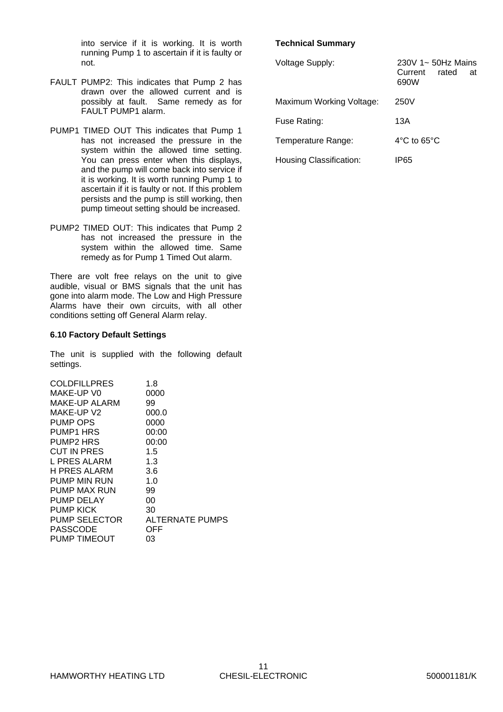into service if it is working. It is worth running Pump 1 to ascertain if it is faulty or not.

- FAULT PUMP2: This indicates that Pump 2 has drawn over the allowed current and is possibly at fault. Same remedy as for FAULT PUMP1 alarm.
- PUMP1 TIMED OUT This indicates that Pump 1 has not increased the pressure in the system within the allowed time setting. You can press enter when this displays, and the pump will come back into service if it is working. It is worth running Pump 1 to ascertain if it is faulty or not. If this problem persists and the pump is still working, then pump timeout setting should be increased.
- PUMP2 TIMED OUT: This indicates that Pump 2 has not increased the pressure in the system within the allowed time. Same remedy as for Pump 1 Timed Out alarm.

There are volt free relays on the unit to give audible, visual or BMS signals that the unit has gone into alarm mode. The Low and High Pressure Alarms have their own circuits, with all other conditions setting off General Alarm relay.

#### **6.10 Factory Default Settings**

The unit is supplied with the following default settings.

| <b>COLDFILLPRES</b>  | 1.8             |
|----------------------|-----------------|
| MAKE-UP VO           | 0000            |
| MAKE-UP ALARM        | 99              |
| MAKE-UP V2           | 000.0           |
| <b>PUMP OPS</b>      | 0000            |
| <b>PUMP1 HRS</b>     | 00:00           |
| <b>PUMP2 HRS</b>     | 00:00           |
| <b>CUT IN PRES</b>   | 1.5             |
| L PRES ALARM         | 1.3             |
| <b>H PRES ALARM</b>  | 3.6             |
| <b>PUMP MIN RUN</b>  | 1.0             |
| PUMP MAX RUN         | 99              |
| PUMP DELAY           | 00              |
| <b>PUMP KICK</b>     | 30              |
| <b>PUMP SELECTOR</b> | ALTERNATE PUMPS |
| PASSCODE             | OFF             |
| PUMP TIMEOUT         | 03              |

#### **Technical Summary**

| <b>Voltage Supply:</b>   | $230V$ 1~ 50Hz Mains<br>Current<br>rated<br>at<br>690W |
|--------------------------|--------------------------------------------------------|
| Maximum Working Voltage: | 250V                                                   |
| Fuse Rating:             | 13A                                                    |
| Temperature Range:       | $4^{\circ}$ C to 65 $^{\circ}$ C                       |
| Housing Classification:  | IP65                                                   |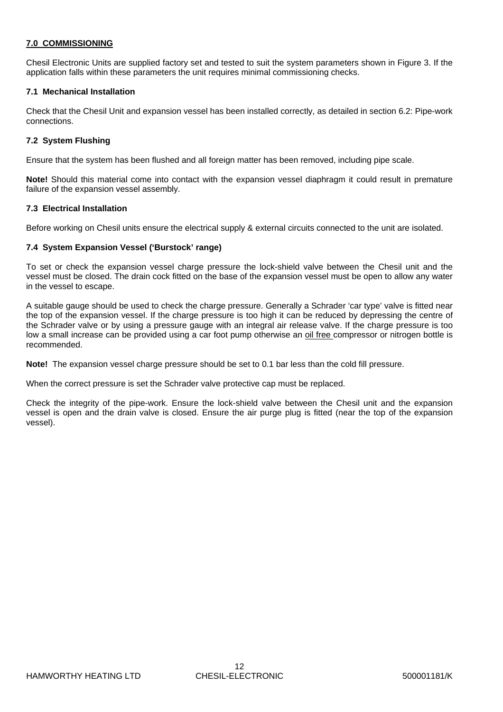#### **7.0 COMMISSIONING**

Chesil Electronic Units are supplied factory set and tested to suit the system parameters shown in Figure 3. If the application falls within these parameters the unit requires minimal commissioning checks.

#### **7.1 Mechanical Installation**

Check that the Chesil Unit and expansion vessel has been installed correctly, as detailed in section 6.2: Pipe-work connections.

#### **7.2 System Flushing**

Ensure that the system has been flushed and all foreign matter has been removed, including pipe scale.

**Note!** Should this material come into contact with the expansion vessel diaphragm it could result in premature failure of the expansion vessel assembly.

#### **7.3 Electrical Installation**

Before working on Chesil units ensure the electrical supply & external circuits connected to the unit are isolated.

#### **7.4 System Expansion Vessel ('Burstock' range)**

To set or check the expansion vessel charge pressure the lock-shield valve between the Chesil unit and the vessel must be closed. The drain cock fitted on the base of the expansion vessel must be open to allow any water in the vessel to escape.

A suitable gauge should be used to check the charge pressure. Generally a Schrader 'car type' valve is fitted near the top of the expansion vessel. If the charge pressure is too high it can be reduced by depressing the centre of the Schrader valve or by using a pressure gauge with an integral air release valve. If the charge pressure is too low a small increase can be provided using a car foot pump otherwise an oil free compressor or nitrogen bottle is recommended.

**Note!** The expansion vessel charge pressure should be set to 0.1 bar less than the cold fill pressure.

When the correct pressure is set the Schrader valve protective cap must be replaced.

Check the integrity of the pipe-work. Ensure the lock-shield valve between the Chesil unit and the expansion vessel is open and the drain valve is closed. Ensure the air purge plug is fitted (near the top of the expansion vessel).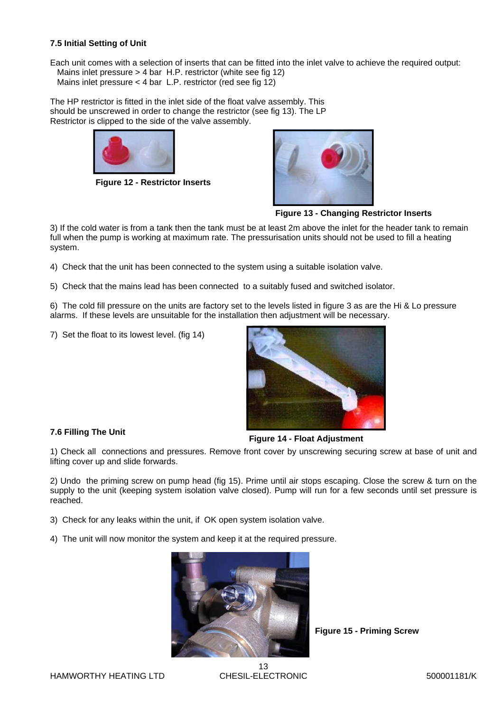#### **7.5 Initial Setting of Unit**

Each unit comes with a selection of inserts that can be fitted into the inlet valve to achieve the required output: Mains inlet pressure > 4 bar H.P. restrictor (white see fig 12) Mains inlet pressure  $<$  4 bar L.P. restrictor (red see fig  $12$ )

The HP restrictor is fitted in the inlet side of the float valve assembly. This should be unscrewed in order to change the restrictor (see fig 13). The LP Restrictor is clipped to the side of the valve assembly.



**Figure 12 - Restrictor Inserts**



**Figure 13 - Changing Restrictor Inserts**

3) If the cold water is from a tank then the tank must be at least 2m above the inlet for the header tank to remain full when the pump is working at maximum rate. The pressurisation units should not be used to fill a heating system.

4) Check that the unit has been connected to the system using a suitable isolation valve.

5) Check that the mains lead has been connected to a suitably fused and switched isolator.

6) The cold fill pressure on the units are factory set to the levels listed in figure 3 as are the Hi & Lo pressure alarms. If these levels are unsuitable for the installation then adjustment will be necessary.

7) Set the float to its lowest level. (fig 14)



#### **7.6 Filling The Unit**

**Figure 14 - Float Adjustment**

1) Check all connections and pressures. Remove front cover by unscrewing securing screw at base of unit and lifting cover up and slide forwards.

2) Undo the priming screw on pump head (fig 15). Prime until air stops escaping. Close the screw & turn on the supply to the unit (keeping system isolation valve closed). Pump will run for a few seconds until set pressure is reached.

3) Check for any leaks within the unit, if OK open system isolation valve.

4) The unit will now monitor the system and keep it at the required pressure.



**Figure 15 - Priming Screw**

HAMWORTHY HEATING LTD

13 CHESIL-ELECTRONIC 500001181/K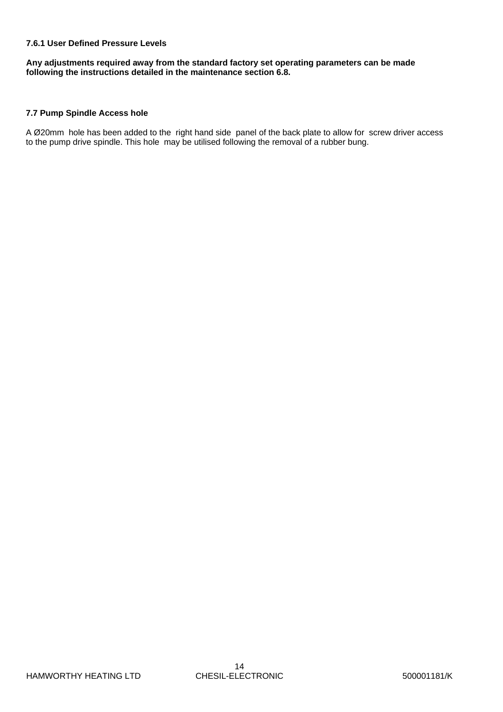#### **7.6.1 User Defined Pressure Levels**

**Any adjustments required away from the standard factory set operating parameters can be made following the instructions detailed in the maintenance section 6.8.** 

#### **7.7 Pump Spindle Access hole**

A Ø20mm hole has been added to the right hand side panel of the back plate to allow for screw driver access to the pump drive spindle. This hole may be utilised following the removal of a rubber bung.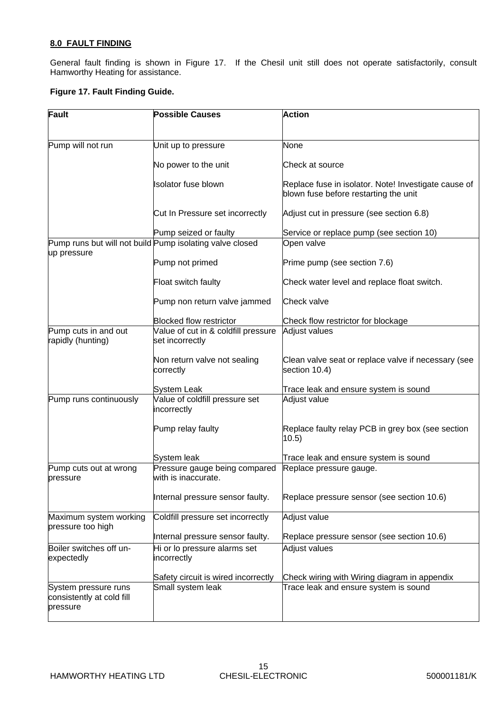#### **8.0 FAULT FINDING**

General fault finding is shown in Figure 17. If the Chesil unit still does not operate satisfactorily, consult Hamworthy Heating for assistance.

#### **Figure 17. Fault Finding Guide.**

| Fault                              | <b>Possible Causes</b>                                   | <b>Action</b>                                        |
|------------------------------------|----------------------------------------------------------|------------------------------------------------------|
|                                    |                                                          |                                                      |
| Pump will not run                  | Unit up to pressure                                      | None                                                 |
|                                    |                                                          |                                                      |
|                                    | No power to the unit                                     | Check at source                                      |
|                                    | <b>Isolator fuse blown</b>                               | Replace fuse in isolator. Note! Investigate cause of |
|                                    |                                                          | blown fuse before restarting the unit                |
|                                    | Cut In Pressure set incorrectly                          | Adjust cut in pressure (see section 6.8)             |
|                                    |                                                          |                                                      |
|                                    | Pump seized or faulty                                    | Service or replace pump (see section 10)             |
| up pressure                        | Pump runs but will not build Pump isolating valve closed | Open valve                                           |
|                                    | Pump not primed                                          | Prime pump (see section 7.6)                         |
|                                    | Float switch faulty                                      | Check water level and replace float switch.          |
|                                    | Pump non return valve jammed                             | Check valve                                          |
|                                    | <b>Blocked flow restrictor</b>                           | Check flow restrictor for blockage                   |
| Pump cuts in and out               | Value of cut in & coldfill pressure                      | Adjust values                                        |
| rapidly (hunting)                  | set incorrectly                                          |                                                      |
|                                    | Non return valve not sealing                             | Clean valve seat or replace valve if necessary (see  |
|                                    | correctly                                                | section 10.4)                                        |
|                                    |                                                          |                                                      |
|                                    | System Leak                                              | Trace leak and ensure system is sound                |
| Pump runs continuously             | Value of coldfill pressure set<br>incorrectly            | Adjust value                                         |
|                                    | Pump relay faulty                                        | Replace faulty relay PCB in grey box (see section    |
|                                    |                                                          | 10.5)                                                |
|                                    |                                                          |                                                      |
|                                    | System leak                                              | Trace leak and ensure system is sound                |
| Pump cuts out at wrong<br>pressure | Pressure gauge being compared<br>with is inaccurate.     | Replace pressure gauge.                              |
|                                    |                                                          |                                                      |
|                                    | Internal pressure sensor faulty.                         | Replace pressure sensor (see section 10.6)           |
| Maximum system working             | Coldfill pressure set incorrectly                        | Adjust value                                         |
| pressure too high                  |                                                          |                                                      |
|                                    | Internal pressure sensor faulty.                         | Replace pressure sensor (see section 10.6)           |
| Boiler switches off un-            | Hi or lo pressure alarms set                             | Adjust values                                        |
| expectedly                         | incorrectly                                              |                                                      |
|                                    | Safety circuit is wired incorrectly                      | Check wiring with Wiring diagram in appendix         |
| System pressure runs               | Small system leak                                        | Trace leak and ensure system is sound                |
| consistently at cold fill          |                                                          |                                                      |
| pressure                           |                                                          |                                                      |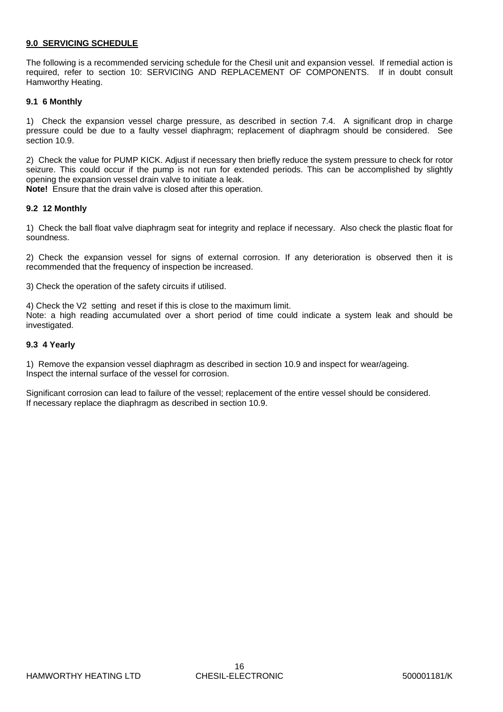#### **9.0 SERVICING SCHEDULE**

The following is a recommended servicing schedule for the Chesil unit and expansion vessel. If remedial action is required, refer to section 10: SERVICING AND REPLACEMENT OF COMPONENTS. If in doubt consult Hamworthy Heating.

#### **9.1 6 Monthly**

1) Check the expansion vessel charge pressure, as described in section 7.4. A significant drop in charge pressure could be due to a faulty vessel diaphragm; replacement of diaphragm should be considered. See section 10.9.

2) Check the value for PUMP KICK. Adjust if necessary then briefly reduce the system pressure to check for rotor seizure. This could occur if the pump is not run for extended periods. This can be accomplished by slightly opening the expansion vessel drain valve to initiate a leak.

**Note!** Ensure that the drain valve is closed after this operation.

#### **9.2 12 Monthly**

1) Check the ball float valve diaphragm seat for integrity and replace if necessary. Also check the plastic float for soundness.

2) Check the expansion vessel for signs of external corrosion. If any deterioration is observed then it is recommended that the frequency of inspection be increased.

3) Check the operation of the safety circuits if utilised.

4) Check the V2 setting and reset if this is close to the maximum limit. Note: a high reading accumulated over a short period of time could indicate a system leak and should be investigated.

#### **9.3 4 Yearly**

1) Remove the expansion vessel diaphragm as described in section 10.9 and inspect for wear/ageing. Inspect the internal surface of the vessel for corrosion.

Significant corrosion can lead to failure of the vessel; replacement of the entire vessel should be considered. If necessary replace the diaphragm as described in section 10.9.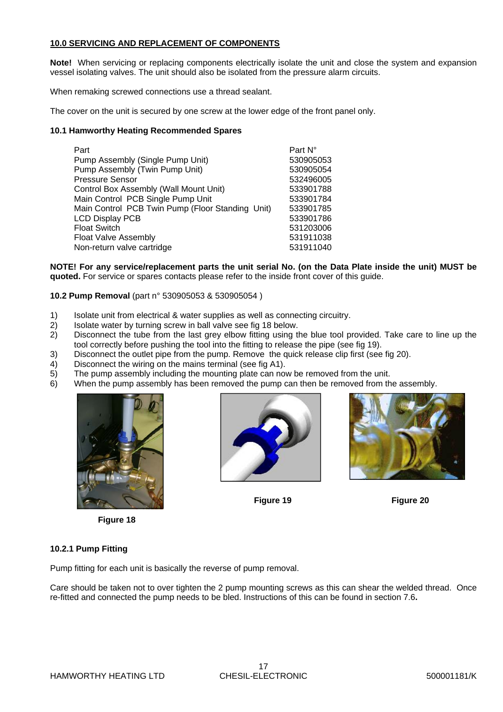#### **10.0 SERVICING AND REPLACEMENT OF COMPONENTS**

**Note!** When servicing or replacing components electrically isolate the unit and close the system and expansion vessel isolating valves. The unit should also be isolated from the pressure alarm circuits.

When remaking screwed connections use a thread sealant.

The cover on the unit is secured by one screw at the lower edge of the front panel only.

#### **10.1 Hamworthy Heating Recommended Spares**

| Part                                             | Part N°   |
|--------------------------------------------------|-----------|
| Pump Assembly (Single Pump Unit)                 | 530905053 |
| Pump Assembly (Twin Pump Unit)                   | 530905054 |
| <b>Pressure Sensor</b>                           | 532496005 |
| Control Box Assembly (Wall Mount Unit)           | 533901788 |
| Main Control PCB Single Pump Unit                | 533901784 |
| Main Control PCB Twin Pump (Floor Standing Unit) | 533901785 |
| <b>LCD Display PCB</b>                           | 533901786 |
| <b>Float Switch</b>                              | 531203006 |
| Float Valve Assembly                             | 531911038 |
| Non-return valve cartridge                       | 531911040 |
|                                                  |           |

**NOTE! For any service/replacement parts the unit serial No. (on the Data Plate inside the unit) MUST be quoted.** For service or spares contacts please refer to the inside front cover of this guide.

#### **10.2 Pump Removal** (part n° 530905053 & 530905054 )

- 1) Isolate unit from electrical & water supplies as well as connecting circuitry.
- 2) Isolate water by turning screw in ball valve see fig 18 below.
- 2) Disconnect the tube from the last grey elbow fitting using the blue tool provided. Take care to line up the tool correctly before pushing the tool into the fitting to release the pipe (see fig 19).
- 3) Disconnect the outlet pipe from the pump. Remove the quick release clip first (see fig 20).
- 4) Disconnect the wiring on the mains terminal (see fig A1).
- 5) The pump assembly including the mounting plate can now be removed from the unit.
- 6) When the pump assembly has been removed the pump can then be removed from the assembly.









#### **10.2.1 Pump Fitting**

Pump fitting for each unit is basically the reverse of pump removal.

Care should be taken not to over tighten the 2 pump mounting screws as this can shear the welded thread. Once re-fitted and connected the pump needs to be bled. Instructions of this can be found in section 7.6**.**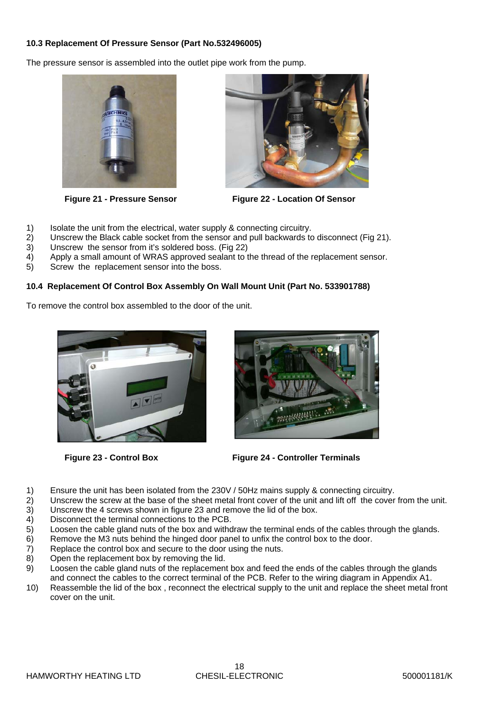#### **10.3 Replacement Of Pressure Sensor (Part No.532496005)**

The pressure sensor is assembled into the outlet pipe work from the pump.





**Figure 21 - Pressure Sensor Figure 22 - Location Of Sensor**

- 1) Isolate the unit from the electrical, water supply & connecting circuitry.
- 2) Unscrew the Black cable socket from the sensor and pull backwards to disconnect (Fig 21).
- 3) Unscrew the sensor from it's soldered boss. (Fig 22)
- 4) Apply a small amount of WRAS approved sealant to the thread of the replacement sensor.
- 5) Screw the replacement sensor into the boss.

#### **10.4 Replacement Of Control Box Assembly On Wall Mount Unit (Part No. 533901788)**

To remove the control box assembled to the door of the unit.





**Figure 23 - Control Box Figure 24 - Controller Terminals**

- 1) Ensure the unit has been isolated from the 230V / 50Hz mains supply & connecting circuitry.
- 2) Unscrew the screw at the base of the sheet metal front cover of the unit and lift off the cover from the unit.<br>3) Unscrew the 4 screws shown in figure 23 and remove the lid of the box.
- Unscrew the 4 screws shown in figure 23 and remove the lid of the box.
- 4) Disconnect the terminal connections to the PCB.
- 5) Loosen the cable gland nuts of the box and withdraw the terminal ends of the cables through the glands.
- 6) Remove the M3 nuts behind the hinged door panel to unfix the control box to the door.
- 7) Replace the control box and secure to the door using the nuts.
- 8) Open the replacement box by removing the lid.
- 9) Loosen the cable gland nuts of the replacement box and feed the ends of the cables through the glands and connect the cables to the correct terminal of the PCB. Refer to the wiring diagram in Appendix A1.
- 10) Reassemble the lid of the box , reconnect the electrical supply to the unit and replace the sheet metal front cover on the unit.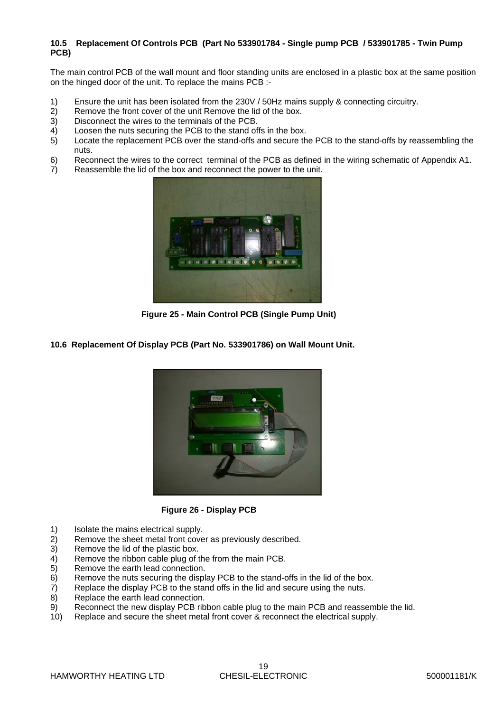#### **10.5 Replacement Of Controls PCB (Part No 533901784 - Single pump PCB / 533901785 - Twin Pump PCB)**

The main control PCB of the wall mount and floor standing units are enclosed in a plastic box at the same position on the hinged door of the unit. To replace the mains PCB :-

- 1) Ensure the unit has been isolated from the 230V / 50Hz mains supply & connecting circuitry.
- 2) Remove the front cover of the unit Remove the lid of the box.
- 3) Disconnect the wires to the terminals of the PCB.
- 4) Loosen the nuts securing the PCB to the stand offs in the box.
- 5) Locate the replacement PCB over the stand-offs and secure the PCB to the stand-offs by reassembling the nuts.
- 6) Reconnect the wires to the correct terminal of the PCB as defined in the wiring schematic of Appendix A1.
- 7) Reassemble the lid of the box and reconnect the power to the unit.



**Figure 25 - Main Control PCB (Single Pump Unit)**

**10.6 Replacement Of Display PCB (Part No. 533901786) on Wall Mount Unit.** 



**Figure 26 - Display PCB**

- 1) Isolate the mains electrical supply.
- 2) Remove the sheet metal front cover as previously described.
- 3) Remove the lid of the plastic box.
- 4) Remove the ribbon cable plug of the from the main PCB.<br>5) Remove the earth lead connection.
- 5) Remove the earth lead connection.<br>6) Remove the nuts securing the displ
- Remove the nuts securing the display PCB to the stand-offs in the lid of the box.
- 7) Replace the display PCB to the stand offs in the lid and secure using the nuts.
- 8) Replace the earth lead connection.
- 9) Reconnect the new display PCB ribbon cable plug to the main PCB and reassemble the lid.
- 10) Replace and secure the sheet metal front cover & reconnect the electrical supply.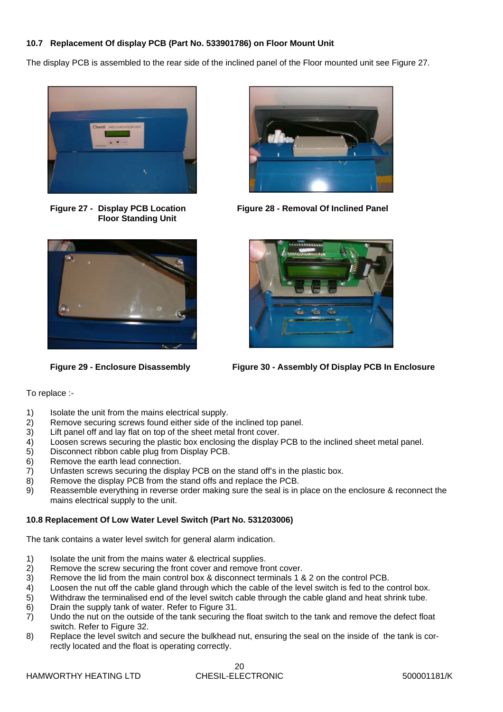#### **10.7 Replacement Of display PCB (Part No. 533901786) on Floor Mount Unit**

The display PCB is assembled to the rear side of the inclined panel of the Floor mounted unit see Figure 27.



 **Floor Standing Unit**



**Figure 27 - Display PCB Location Figure 28 - Removal Of Inclined Panel**





**Figure 29 - Enclosure Disassembly Figure 30 - Assembly Of Display PCB In Enclosure**

#### To replace :-

- 1) Isolate the unit from the mains electrical supply.<br>2) Remove securing screws found either side of the
- 2) Remove securing screws found either side of the inclined top panel.<br>3) Lift panel off and lay flat on top of the sheet metal front cover.
- Lift panel off and lay flat on top of the sheet metal front cover.
- 4) Loosen screws securing the plastic box enclosing the display PCB to the inclined sheet metal panel.
- 5) Disconnect ribbon cable plug from Display PCB.
- 6) Remove the earth lead connection.
- 7) Unfasten screws securing the display PCB on the stand off's in the plastic box.
- 8) Remove the display PCB from the stand offs and replace the PCB.
- 9) Reassemble everything in reverse order making sure the seal is in place on the enclosure & reconnect the mains electrical supply to the unit.

#### **10.8 Replacement Of Low Water Level Switch (Part No. 531203006)**

The tank contains a water level switch for general alarm indication.

- 1) Isolate the unit from the mains water & electrical supplies.
- 2) Remove the screw securing the front cover and remove front cover.<br>3) Remove the lid from the main control box & disconnect terminals 1 &
- Remove the lid from the main control box & disconnect terminals 1 & 2 on the control PCB.
- 4) Loosen the nut off the cable gland through which the cable of the level switch is fed to the control box.
- 5) Withdraw the terminalised end of the level switch cable through the cable gland and heat shrink tube.
- 6) Drain the supply tank of water. Refer to Figure 31.
- 7) Undo the nut on the outside of the tank securing the float switch to the tank and remove the defect float switch. Refer to Figure 32.
- 8) Replace the level switch and secure the bulkhead nut, ensuring the seal on the inside of the tank is correctly located and the float is operating correctly.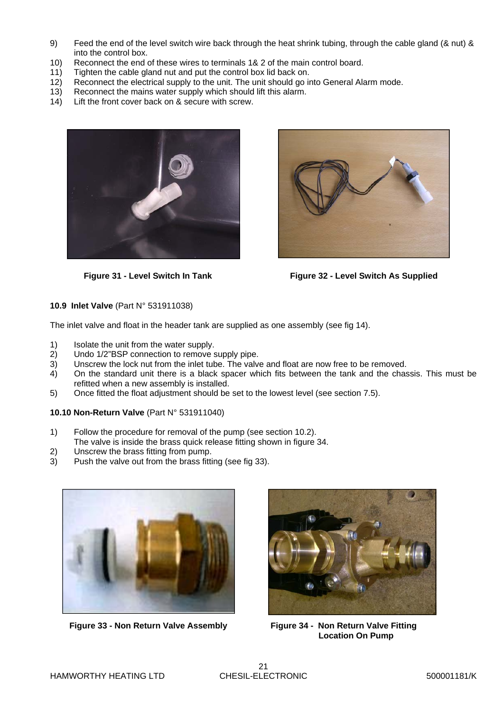- 9) Feed the end of the level switch wire back through the heat shrink tubing, through the cable gland (& nut) & into the control box.
- 10) Reconnect the end of these wires to terminals 1& 2 of the main control board.
- 11) Tighten the cable gland nut and put the control box lid back on.
- 12) Reconnect the electrical supply to the unit. The unit should go into General Alarm mode.
- 13) Reconnect the mains water supply which should lift this alarm.
- 14) Lift the front cover back on & secure with screw.



**Figure 31 - Level Switch In Tank**



**Figure 32 - Level Switch As Supplied**

#### **10.9 Inlet Valve** (Part N° 531911038)

The inlet valve and float in the header tank are supplied as one assembly (see fig 14).

- 1) Isolate the unit from the water supply.
- 2) Undo 1/2"BSP connection to remove supply pipe.
- 3) Unscrew the lock nut from the inlet tube. The valve and float are now free to be removed.
- 4) On the standard unit there is a black spacer which fits between the tank and the chassis. This must be refitted when a new assembly is installed.
- 5) Once fitted the float adjustment should be set to the lowest level (see section 7.5).

#### **10.10 Non-Return Valve** (Part N° 531911040)

- 1) Follow the procedure for removal of the pump (see section 10.2). The valve is inside the brass quick release fitting shown in figure 34.
- 
- 2) Unscrew the brass fitting from pump.<br>3) Push the valve out from the brass fitti Push the valve out from the brass fitting (see fig 33).



**Figure 33 - Non Return Valve Assembly**



**Figure 34 - Non Return Valve Fitting Location On Pump**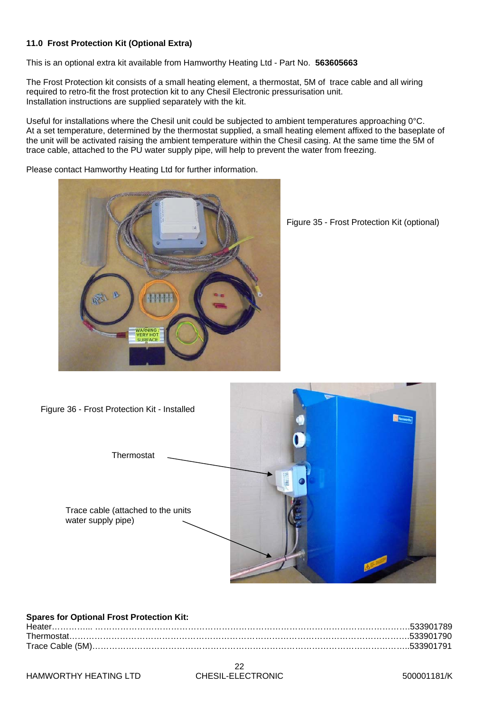#### **11.0 Frost Protection Kit (Optional Extra)**

This is an optional extra kit available from Hamworthy Heating Ltd - Part No. **563605663** 

The Frost Protection kit consists of a small heating element, a thermostat, 5M of trace cable and all wiring required to retro-fit the frost protection kit to any Chesil Electronic pressurisation unit. Installation instructions are supplied separately with the kit.

Useful for installations where the Chesil unit could be subjected to ambient temperatures approaching 0°C. At a set temperature, determined by the thermostat supplied, a small heating element affixed to the baseplate of the unit will be activated raising the ambient temperature within the Chesil casing. At the same time the 5M of trace cable, attached to the PU water supply pipe, will help to prevent the water from freezing.

Please contact Hamworthy Heating Ltd for further information.



Figure 35 - Frost Protection Kit (optional)



| <b>Spares for Optional Frost Protection Kit:</b> |  |
|--------------------------------------------------|--|
|                                                  |  |
|                                                  |  |
|                                                  |  |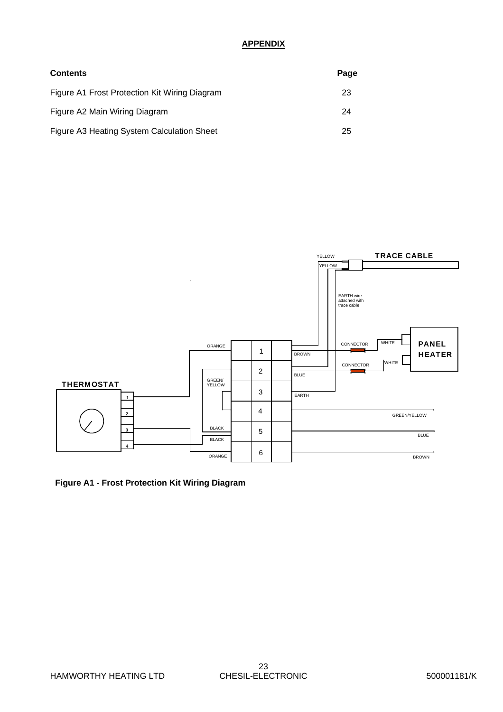#### **APPENDIX**

| <b>Contents</b>                               | Page |
|-----------------------------------------------|------|
| Figure A1 Frost Protection Kit Wiring Diagram | 23   |
| Figure A2 Main Wiring Diagram                 | 24   |
| Figure A3 Heating System Calculation Sheet    | 25   |



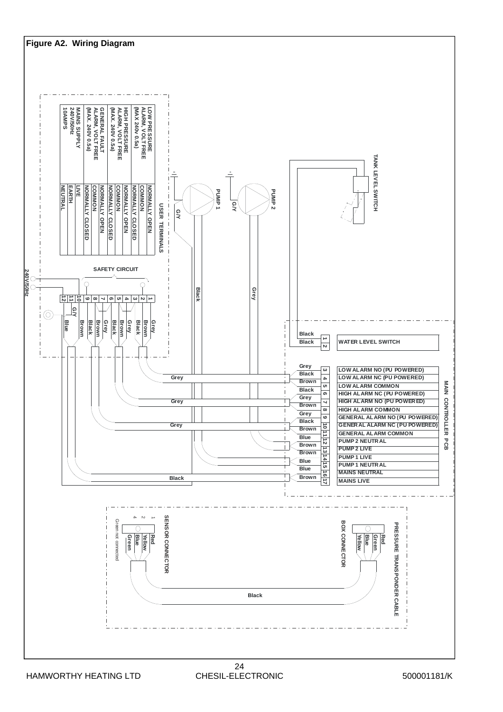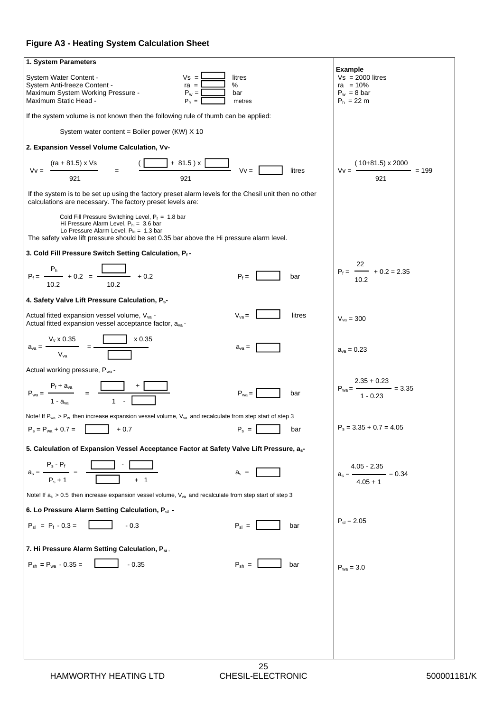#### **Figure A3 - Heating System Calculation Sheet**

| 1. System Parameters                                                                                                                                                                                                                          |                                                                                             |  |
|-----------------------------------------------------------------------------------------------------------------------------------------------------------------------------------------------------------------------------------------------|---------------------------------------------------------------------------------------------|--|
| $Vs = I$<br>litres<br>System Water Content -<br>$\%$<br>$\mathsf{ra} =$<br>System Anti-freeze Content -<br>Maximum System Working Pressure -<br>$P_w =$<br>bar<br>Maximum Static Head -<br>$P_h =$<br>metres                                  | <b>Example</b><br>$Vs = 2000$ litres<br>$ra = 10%$<br>$P_w = 8$ bar<br>$P_h = 22 \text{ m}$ |  |
| If the system volume is not known then the following rule of thumb can be applied:                                                                                                                                                            |                                                                                             |  |
| System water content = Boiler power (KW) X 10                                                                                                                                                                                                 |                                                                                             |  |
| 2. Expansion Vessel Volume Calculation, Vv-                                                                                                                                                                                                   |                                                                                             |  |
| $(ra + 81.5) \times Vs$<br>$+ 81.5 x$<br>$Vv =$<br>litres<br>$Vv =$<br>921<br>921                                                                                                                                                             | $(10+81.5) \times 2000$ = 199<br>$Vv =$<br>921                                              |  |
| If the system is to be set up using the factory preset alarm levels for the Chesil unit then no other<br>calculations are necessary. The factory preset levels are:                                                                           |                                                                                             |  |
| Cold Fill Pressure Switching Level, $P_f = 1.8$ bar<br>Hi Pressure Alarm Level, $P_{hi} = 3.6$ bar<br>Lo Pressure Alarm Level, $P_{10} = 1.3$ bar<br>The safety valve lift pressure should be set 0.35 bar above the Hi pressure alarm level. |                                                                                             |  |
| 3. Cold Fill Pressure Switch Setting Calculation, Pf-                                                                                                                                                                                         |                                                                                             |  |
| $P_f = \frac{P_h}{I} + 0.2 = \frac{I}{I} + 0.2$<br>$P_f =$<br>bar<br>10.2<br>10.2                                                                                                                                                             | 22<br>$P_f =$ $\longrightarrow$ + 0.2 = 2.35<br>10.2                                        |  |
| 4. Safety Valve Lift Pressure Calculation, P <sub>s</sub> -                                                                                                                                                                                   |                                                                                             |  |
| $V_{va} =$<br>litres<br>Actual fitted expansion vessel volume, $V_{va}$ -<br>Actual fitted expansion vessel acceptance factor, a <sub>va</sub> -                                                                                              | $V_{va} = 300$                                                                              |  |
| $a_{va} = \frac{V_v \times 0.35}{V_{u}} = \frac{1}{\sqrt{1 - \frac{1}{2}} \times 0.35}$<br>$a_{va} =$                                                                                                                                         | $a_{va} = 0.23$                                                                             |  |
| Actual working pressure, Pwa-                                                                                                                                                                                                                 |                                                                                             |  |
| $P_{wa} = \frac{P_f + a_{va}}{q} = \frac{L}{q}$<br>$P_{wa} =$<br>bar<br>$1 - ava$                                                                                                                                                             | $2.35 + 0.23$<br>$P_{wa} =$ = 3.35<br>$1 - 0.23$                                            |  |
| Note! If $P_{wa}$ > $P_w$ then increase expansion vessel volume, $V_{va}$ and recalculate from step start of step 3                                                                                                                           |                                                                                             |  |
| $P_s = P_{wa} + 0.7 =$<br>$P_s =$<br>$+0.7$<br>bar                                                                                                                                                                                            | $P_s = 3.35 + 0.7 = 4.05$                                                                   |  |
| 5. Calculation of Expansion Vessel Acceptance Factor at Safety Valve Lift Pressure, as-                                                                                                                                                       |                                                                                             |  |
| $P_s - P_f$<br>$a_s = -$<br>$a_s =$<br>$P_s + 1$<br>$+ 1$                                                                                                                                                                                     | $4.05 - 2.35$<br>$= 0.34$<br>$a_s =$ —<br>$4.05 + 1$                                        |  |
| Note! If $a_s > 0.5$ then increase expansion vessel volume, $V_{va}$ and recalculate from step start of step 3                                                                                                                                |                                                                                             |  |
| 6. Lo Pressure Alarm Setting Calculation, P <sub>sl</sub> -                                                                                                                                                                                   |                                                                                             |  |
| $P_{sl}$ =<br>$P_{sl} = P_f - 0.3 =$<br>$-0.3$<br>bar                                                                                                                                                                                         | $P_{sl} = 2.05$                                                                             |  |
| 7. Hi Pressure Alarm Setting Calculation, Psi.                                                                                                                                                                                                |                                                                                             |  |
| $P_{\rm sh}$ =<br>$P_{\rm sh} = P_{\rm wa} - 0.35 =$<br>$-0.35$<br>bar                                                                                                                                                                        | $P_{wa} = 3.0$                                                                              |  |
|                                                                                                                                                                                                                                               |                                                                                             |  |
|                                                                                                                                                                                                                                               |                                                                                             |  |
|                                                                                                                                                                                                                                               |                                                                                             |  |
|                                                                                                                                                                                                                                               |                                                                                             |  |
|                                                                                                                                                                                                                                               |                                                                                             |  |
|                                                                                                                                                                                                                                               |                                                                                             |  |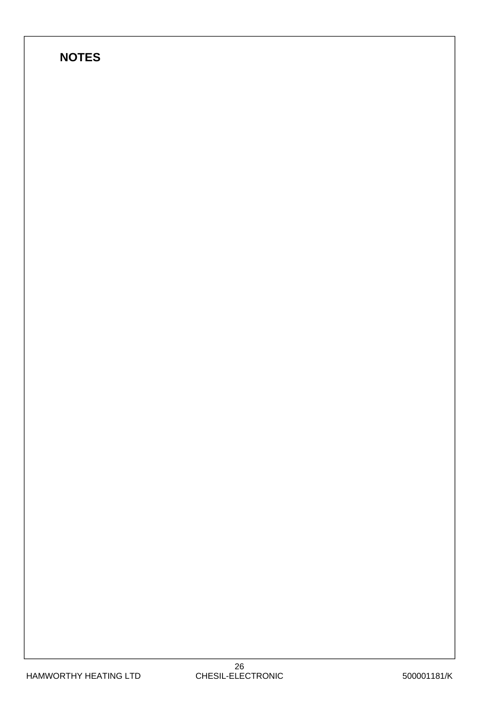### **NOTES**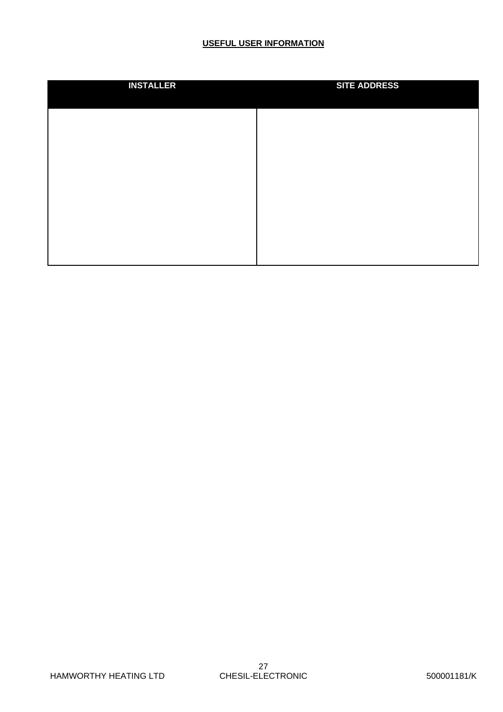#### **USEFUL USER INFORMATION**

| <b>INSTALLER</b> | <b>SITE ADDRESS</b> |
|------------------|---------------------|
|                  |                     |
|                  |                     |
|                  |                     |
|                  |                     |
|                  |                     |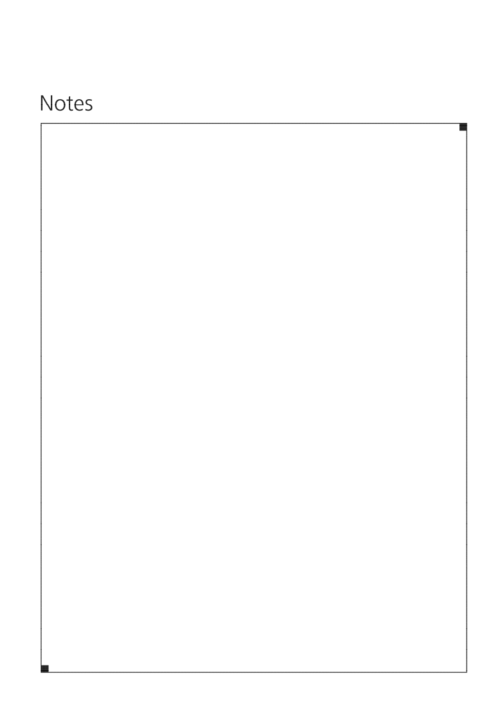# Notes